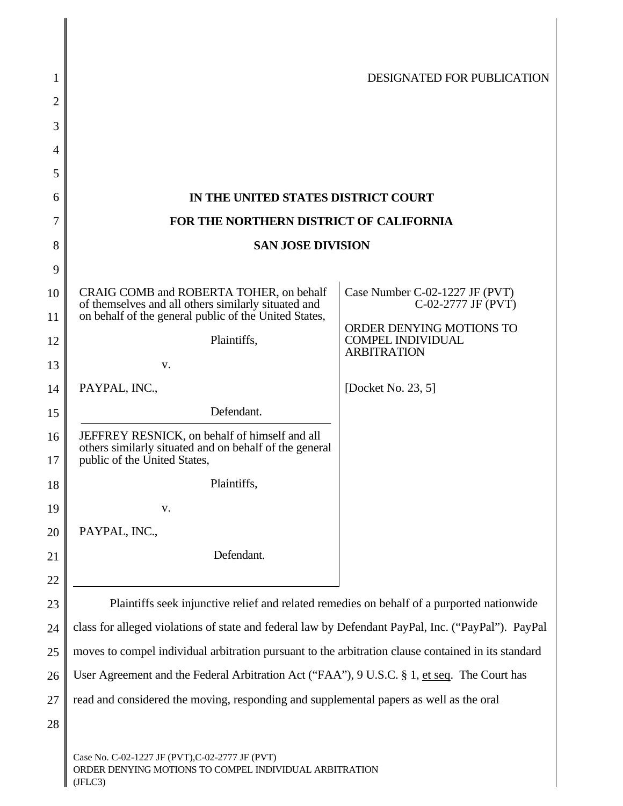| 1        |                                                                                                                                                         | DESIGNATED FOR PUBLICATION                           |
|----------|---------------------------------------------------------------------------------------------------------------------------------------------------------|------------------------------------------------------|
| 2        |                                                                                                                                                         |                                                      |
| 3        |                                                                                                                                                         |                                                      |
| 4        |                                                                                                                                                         |                                                      |
| 5        |                                                                                                                                                         |                                                      |
| 6        | IN THE UNITED STATES DISTRICT COURT                                                                                                                     |                                                      |
| 7        | FOR THE NORTHERN DISTRICT OF CALIFORNIA                                                                                                                 |                                                      |
| 8        | <b>SAN JOSE DIVISION</b>                                                                                                                                |                                                      |
| 9        |                                                                                                                                                         |                                                      |
| 10<br>11 | CRAIG COMB and ROBERTA TOHER, on behalf<br>of themselves and all others similarly situated and<br>on behalf of the general public of the United States, | Case Number C-02-1227 JF (PVT)<br>C-02-2777 JF (PVT) |
| 12       | Plaintiffs,                                                                                                                                             | ORDER DENYING MOTIONS TO<br><b>COMPEL INDIVIDUAL</b> |
| 13       | V.                                                                                                                                                      | <b>ARBITRATION</b>                                   |
| 14       | PAYPAL, INC.,                                                                                                                                           | [Docket No. 23, 5]                                   |
| 15       | Defendant.                                                                                                                                              |                                                      |
| 16<br>17 | JEFFREY RESNICK, on behalf of himself and all<br>others similarly situated and on behalf of the general<br>public of the United States,                 |                                                      |
| 18       | Plaintiffs,                                                                                                                                             |                                                      |
| 19       | v.                                                                                                                                                      |                                                      |
| 20       | PAYPAL, INC.,                                                                                                                                           |                                                      |
| 21       | Defendant.                                                                                                                                              |                                                      |
| 22       |                                                                                                                                                         |                                                      |
| 23       | Plaintiffs seek injunctive relief and related remedies on behalf of a purported nationwide                                                              |                                                      |
| 24       | class for alleged violations of state and federal law by Defendant PayPal, Inc. ("PayPal"). PayPal                                                      |                                                      |
| 25       | moves to compel individual arbitration pursuant to the arbitration clause contained in its standard                                                     |                                                      |
| 26       | User Agreement and the Federal Arbitration Act ("FAA"), 9 U.S.C. § 1, et seq. The Court has                                                             |                                                      |
| 27       | read and considered the moving, responding and supplemental papers as well as the oral                                                                  |                                                      |
| 28       |                                                                                                                                                         |                                                      |
|          | Case No. C-02-1227 JF (PVT), C-02-2777 JF (PVT)<br>ORDER DENYING MOTIONS TO COMPEL INDIVIDUAL ARBITRATION                                               |                                                      |

 $\bigcup$  (JFLC3)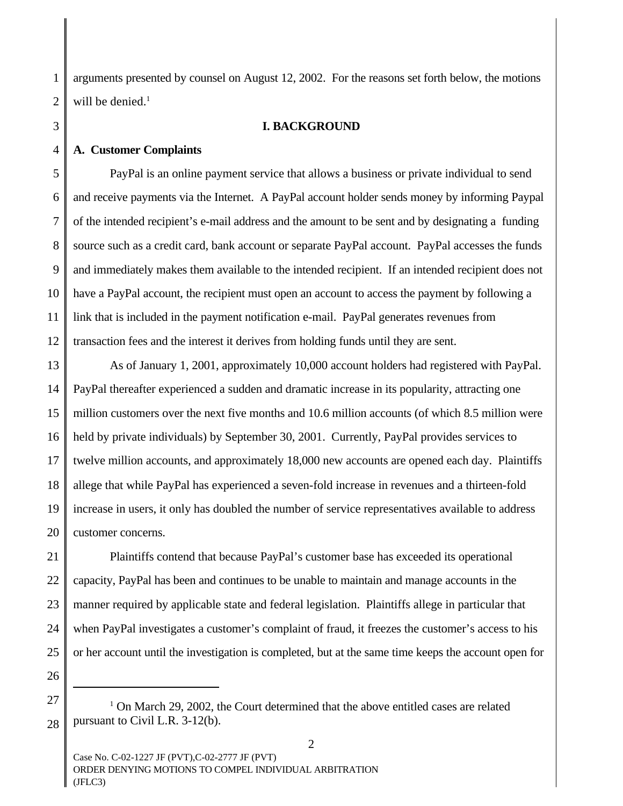1 2 arguments presented by counsel on August 12, 2002. For the reasons set forth below, the motions will be denied.<sup>1</sup>

**I. BACKGROUND**

#### **A. Customer Complaints**

3

4

7

11

5 6 8 9 10 12 PayPal is an online payment service that allows a business or private individual to send and receive payments via the Internet. A PayPal account holder sends money by informing Paypal of the intended recipient's e-mail address and the amount to be sent and by designating a funding source such as a credit card, bank account or separate PayPal account. PayPal accesses the funds and immediately makes them available to the intended recipient. If an intended recipient does not have a PayPal account, the recipient must open an account to access the payment by following a link that is included in the payment notification e-mail. PayPal generates revenues from transaction fees and the interest it derives from holding funds until they are sent.

13 14 15 16 17 18 19 20 As of January 1, 2001, approximately 10,000 account holders had registered with PayPal. PayPal thereafter experienced a sudden and dramatic increase in its popularity, attracting one million customers over the next five months and 10.6 million accounts (of which 8.5 million were held by private individuals) by September 30, 2001. Currently, PayPal provides services to twelve million accounts, and approximately 18,000 new accounts are opened each day. Plaintiffs allege that while PayPal has experienced a seven-fold increase in revenues and a thirteen-fold increase in users, it only has doubled the number of service representatives available to address customer concerns.

21 22 23 24 25 Plaintiffs contend that because PayPal's customer base has exceeded its operational capacity, PayPal has been and continues to be unable to maintain and manage accounts in the manner required by applicable state and federal legislation. Plaintiffs allege in particular that when PayPal investigates a customer's complaint of fraud, it freezes the customer's access to his or her account until the investigation is completed, but at the same time keeps the account open for

26 27

<sup>&</sup>lt;sup>1</sup> On March 29, 2002, the Court determined that the above entitled cases are related pursuant to Civil L.R. 3-12(b).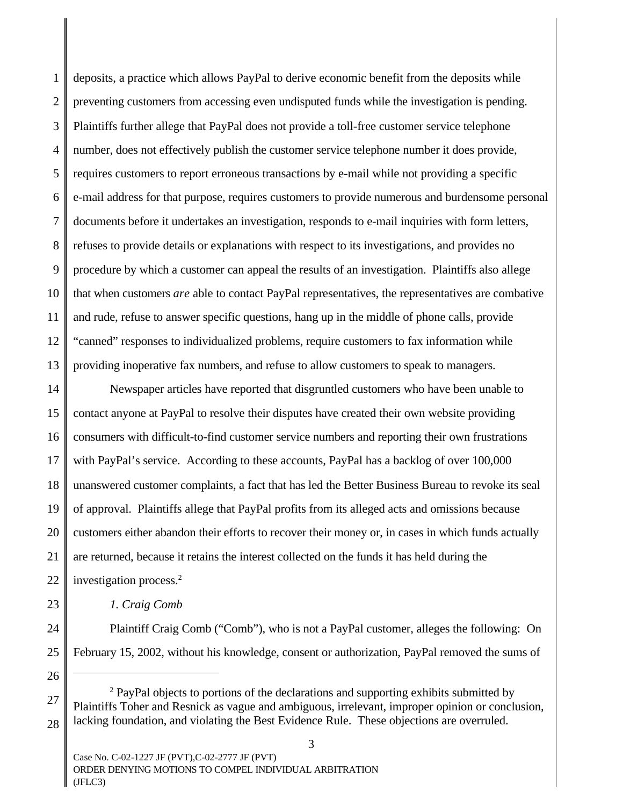1 2 3 4 5 6 7 8 9 10 11 12 13 deposits, a practice which allows PayPal to derive economic benefit from the deposits while preventing customers from accessing even undisputed funds while the investigation is pending. Plaintiffs further allege that PayPal does not provide a toll-free customer service telephone number, does not effectively publish the customer service telephone number it does provide, requires customers to report erroneous transactions by e-mail while not providing a specific e-mail address for that purpose, requires customers to provide numerous and burdensome personal documents before it undertakes an investigation, responds to e-mail inquiries with form letters, refuses to provide details or explanations with respect to its investigations, and provides no procedure by which a customer can appeal the results of an investigation. Plaintiffs also allege that when customers *are* able to contact PayPal representatives, the representatives are combative and rude, refuse to answer specific questions, hang up in the middle of phone calls, provide "canned" responses to individualized problems, require customers to fax information while providing inoperative fax numbers, and refuse to allow customers to speak to managers.

14 15 16 17 18 19 20 21 22 Newspaper articles have reported that disgruntled customers who have been unable to contact anyone at PayPal to resolve their disputes have created their own website providing consumers with difficult-to-find customer service numbers and reporting their own frustrations with PayPal's service. According to these accounts, PayPal has a backlog of over 100,000 unanswered customer complaints, a fact that has led the Better Business Bureau to revoke its seal of approval. Plaintiffs allege that PayPal profits from its alleged acts and omissions because customers either abandon their efforts to recover their money or, in cases in which funds actually are returned, because it retains the interest collected on the funds it has held during the investigation process.<sup>2</sup>

*1. Craig Comb* 

Plaintiff Craig Comb ("Comb"), who is not a PayPal customer, alleges the following: On February 15, 2002, without his knowledge, consent or authorization, PayPal removed the sums of

26

27

28

23

24

<sup>&</sup>lt;sup>2</sup> PayPal objects to portions of the declarations and supporting exhibits submitted by Plaintiffs Toher and Resnick as vague and ambiguous, irrelevant, improper opinion or conclusion, lacking foundation, and violating the Best Evidence Rule. These objections are overruled.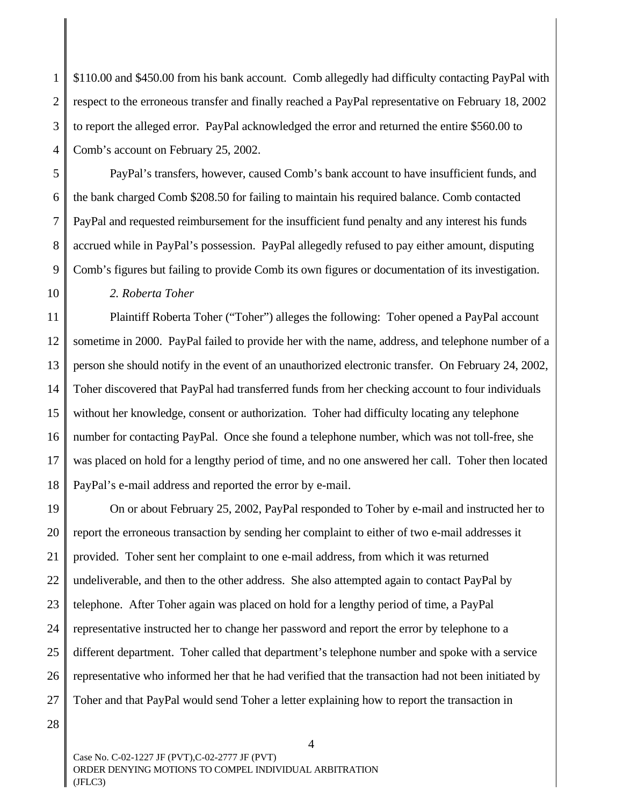2 3 4 \$110.00 and \$450.00 from his bank account. Comb allegedly had difficulty contacting PayPal with respect to the erroneous transfer and finally reached a PayPal representative on February 18, 2002 to report the alleged error. PayPal acknowledged the error and returned the entire \$560.00 to Comb's account on February 25, 2002.

PayPal's transfers, however, caused Comb's bank account to have insufficient funds, and the bank charged Comb \$208.50 for failing to maintain his required balance. Comb contacted PayPal and requested reimbursement for the insufficient fund penalty and any interest his funds accrued while in PayPal's possession. PayPal allegedly refused to pay either amount, disputing Comb's figures but failing to provide Comb its own figures or documentation of its investigation.

*2. Roberta Toher*

11 12 13 14 15 16 17 18 Plaintiff Roberta Toher ("Toher") alleges the following: Toher opened a PayPal account sometime in 2000. PayPal failed to provide her with the name, address, and telephone number of a person she should notify in the event of an unauthorized electronic transfer. On February 24, 2002, Toher discovered that PayPal had transferred funds from her checking account to four individuals without her knowledge, consent or authorization. Toher had difficulty locating any telephone number for contacting PayPal. Once she found a telephone number, which was not toll-free, she was placed on hold for a lengthy period of time, and no one answered her call. Toher then located PayPal's e-mail address and reported the error by e-mail.

19 20 21 22 23 24 25 26 27 On or about February 25, 2002, PayPal responded to Toher by e-mail and instructed her to report the erroneous transaction by sending her complaint to either of two e-mail addresses it provided. Toher sent her complaint to one e-mail address, from which it was returned undeliverable, and then to the other address. She also attempted again to contact PayPal by telephone. After Toher again was placed on hold for a lengthy period of time, a PayPal representative instructed her to change her password and report the error by telephone to a different department. Toher called that department's telephone number and spoke with a service representative who informed her that he had verified that the transaction had not been initiated by Toher and that PayPal would send Toher a letter explaining how to report the transaction in

28

1

5

6

7

8

9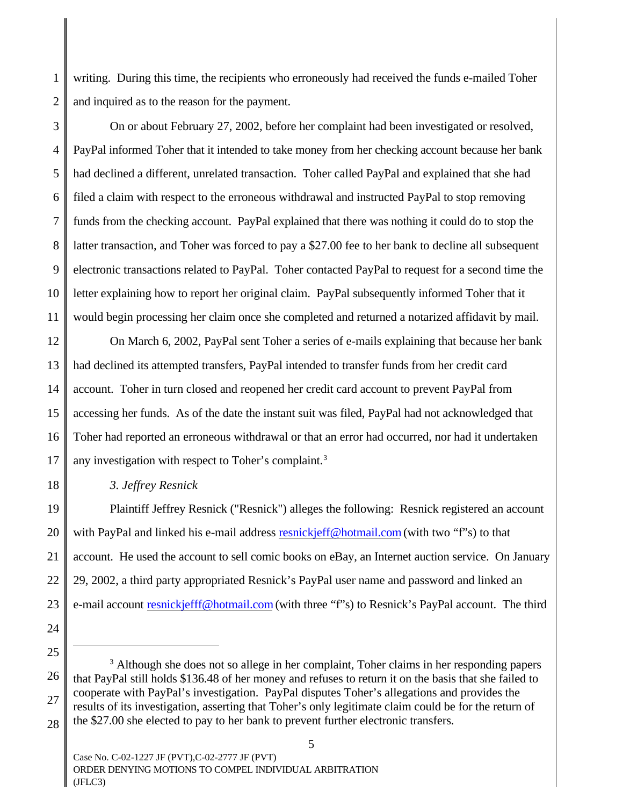1 2 writing. During this time, the recipients who erroneously had received the funds e-mailed Toher and inquired as to the reason for the payment.

On or about February 27, 2002, before her complaint had been investigated or resolved,

PayPal informed Toher that it intended to take money from her checking account because her bank

had declined a different, unrelated transaction. Toher called PayPal and explained that she had

filed a claim with respect to the erroneous withdrawal and instructed PayPal to stop removing

funds from the checking account. PayPal explained that there was nothing it could do to stop the

latter transaction, and Toher was forced to pay a \$27.00 fee to her bank to decline all subsequent

electronic transactions related to PayPal. Toher contacted PayPal to request for a second time the

letter explaining how to report her original claim. PayPal subsequently informed Toher that it

would begin processing her claim once she completed and returned a notarized affidavit by mail. On March 6, 2002, PayPal sent Toher a series of e-mails explaining that because her bank had declined its attempted transfers, PayPal intended to transfer funds from her credit card account. Toher in turn closed and reopened her credit card account to prevent PayPal from

accessing her funds. As of the date the instant suit was filed, PayPal had not acknowledged that Toher had reported an erroneous withdrawal or that an error had occurred, nor had it undertaken any investigation with respect to Toher's complaint.<sup>3</sup>

## *3. Jeffrey Resnick*

Plaintiff Jeffrey Resnick ("Resnick") alleges the following: Resnick registered an account with PayPal and linked his e-mail address resnickjeff@hotmail.com (with two "f"s) to that account. He used the account to sell comic books on eBay, an Internet auction service. On January 29, 2002, a third party appropriated Resnick's PayPal user name and password and linked an e-mail account resnickjefff@hotmail.com (with three "f"s) to Resnick's PayPal account. The third

<sup>&</sup>lt;sup>3</sup> Although she does not so allege in her complaint, Toher claims in her responding papers that PayPal still holds \$136.48 of her money and refuses to return it on the basis that she failed to cooperate with PayPal's investigation. PayPal disputes Toher's allegations and provides the results of its investigation, asserting that Toher's only legitimate claim could be for the return of the \$27.00 she elected to pay to her bank to prevent further electronic transfers.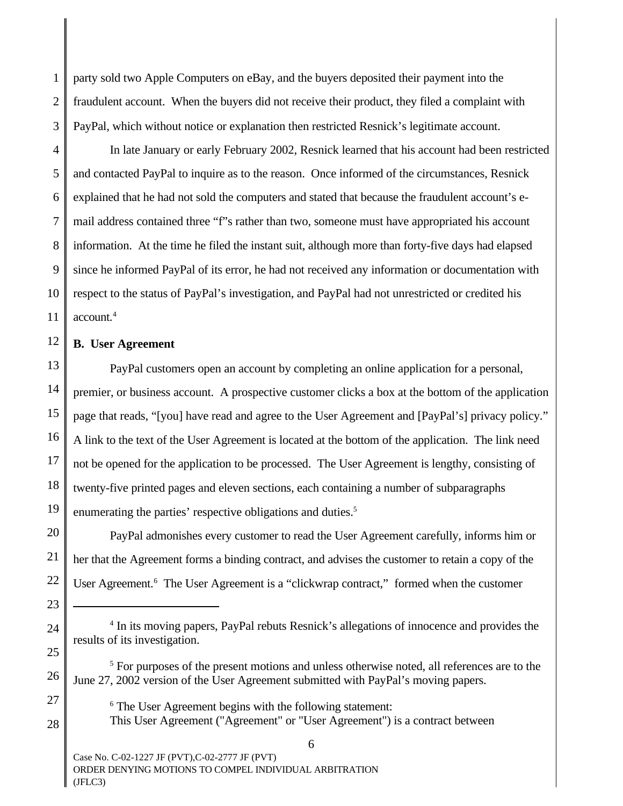2 party sold two Apple Computers on eBay, and the buyers deposited their payment into the fraudulent account. When the buyers did not receive their product, they filed a complaint with PayPal, which without notice or explanation then restricted Resnick's legitimate account.

In late January or early February 2002, Resnick learned that his account had been restricted and contacted PayPal to inquire as to the reason. Once informed of the circumstances, Resnick explained that he had not sold the computers and stated that because the fraudulent account's email address contained three "f"s rather than two, someone must have appropriated his account information. At the time he filed the instant suit, although more than forty-five days had elapsed since he informed PayPal of its error, he had not received any information or documentation with respect to the status of PayPal's investigation, and PayPal had not unrestricted or credited his account.<sup>4</sup>

#### **B. User Agreement**

PayPal customers open an account by completing an online application for a personal, premier, or business account. A prospective customer clicks a box at the bottom of the application page that reads, "[you] have read and agree to the User Agreement and [PayPal's] privacy policy." A link to the text of the User Agreement is located at the bottom of the application. The link need not be opened for the application to be processed. The User Agreement is lengthy, consisting of twenty-five printed pages and eleven sections, each containing a number of subparagraphs enumerating the parties' respective obligations and duties.<sup>5</sup>

PayPal admonishes every customer to read the User Agreement carefully, informs him or her that the Agreement forms a binding contract, and advises the customer to retain a copy of the User Agreement.<sup>6</sup> The User Agreement is a "clickwrap contract," formed when the customer

6

6 The User Agreement begins with the following statement:

This User Agreement ("Agreement" or "User Agreement") is a contract between

Case No. C-02-1227 JF (PVT),C-02-2777 JF (PVT) ORDER DENYING MOTIONS TO COMPEL INDIVIDUAL ARBITRATION (JFLC3)

<sup>&</sup>lt;sup>4</sup> In its moving papers, PayPal rebuts Resnick's allegations of innocence and provides the results of its investigation.

<sup>&</sup>lt;sup>5</sup> For purposes of the present motions and unless otherwise noted, all references are to the June 27, 2002 version of the User Agreement submitted with PayPal's moving papers.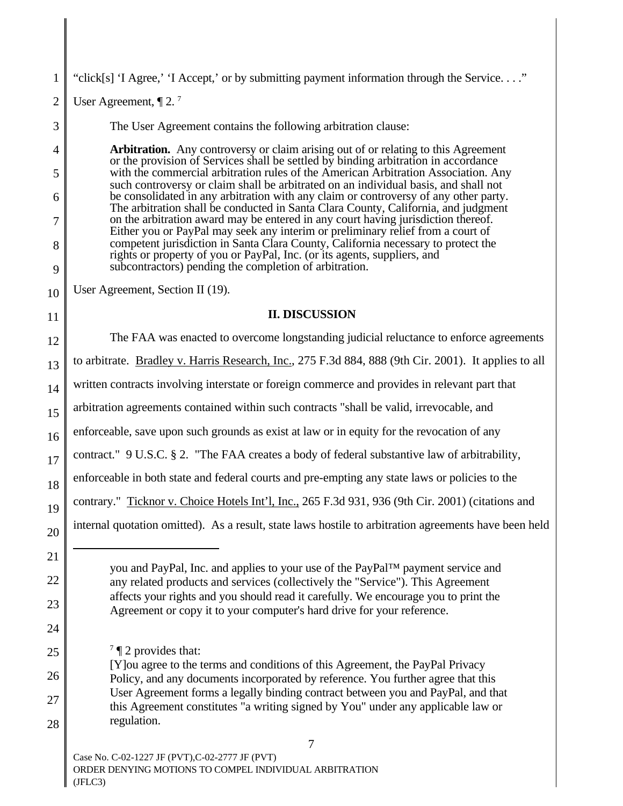1 2 3 4 5 6 7 8 9 10 11 12 13 14 15 16 17 18 19 20 21 22 23 24 25 26 27 28 you and PayPal, Inc. and applies to your use of the PayPal™ payment service and any related products and services (collectively the "Service"). This Agreement affects your rights and you should read it carefully. We encourage you to print the Agreement or copy it to your computer's hard drive for your reference.  $7 \text{ T}$  2 provides that: [Y]ou agree to the terms and conditions of this Agreement, the PayPal Privacy Policy, and any documents incorporated by reference. You further agree that this User Agreement forms a legally binding contract between you and PayPal, and that this Agreement constitutes "a writing signed by You" under any applicable law or regulation. 7 Case No. C-02-1227 JF (PVT),C-02-2777 JF (PVT) ORDER DENYING MOTIONS TO COMPEL INDIVIDUAL ARBITRATION "click[s] 'I Agree,' 'I Accept,' or by submitting payment information through the Service. . . ." User Agreement,  $\P 2.7$ The User Agreement contains the following arbitration clause: **Arbitration.** Any controversy or claim arising out of or relating to this Agreement or the provision of Services shall be settled by binding arbitration in accordance with the commercial arbitration rules of the American Arbitration Association. Any such controversy or claim shall be arbitrated on an individual basis, and shall not be consolidated in any arbitration with any claim or controversy of any other party. The arbitration shall be conducted in Santa Clara County, California, and judgment on the arbitration award may be entered in any court having jurisdiction thereof. Either you or PayPal may seek any interim or preliminary relief from a court of competent jurisdiction in Santa Clara County, California necessary to protect the rights or property of you or PayPal, Inc. (or its agents, suppliers, and subcontractors) pending the completion of arbitration. User Agreement, Section II (19). **II. DISCUSSION** The FAA was enacted to overcome longstanding judicial reluctance to enforce agreements to arbitrate. Bradley v. Harris Research, Inc., 275 F.3d 884, 888 (9th Cir. 2001). It applies to all written contracts involving interstate or foreign commerce and provides in relevant part that arbitration agreements contained within such contracts "shall be valid, irrevocable, and enforceable, save upon such grounds as exist at law or in equity for the revocation of any contract." 9 U.S.C. § 2. "The FAA creates a body of federal substantive law of arbitrability, enforceable in both state and federal courts and pre-empting any state laws or policies to the contrary." Ticknor v. Choice Hotels Int'l, Inc., 265 F.3d 931, 936 (9th Cir. 2001) (citations and internal quotation omitted). As a result, state laws hostile to arbitration agreements have been held

(JFLC3)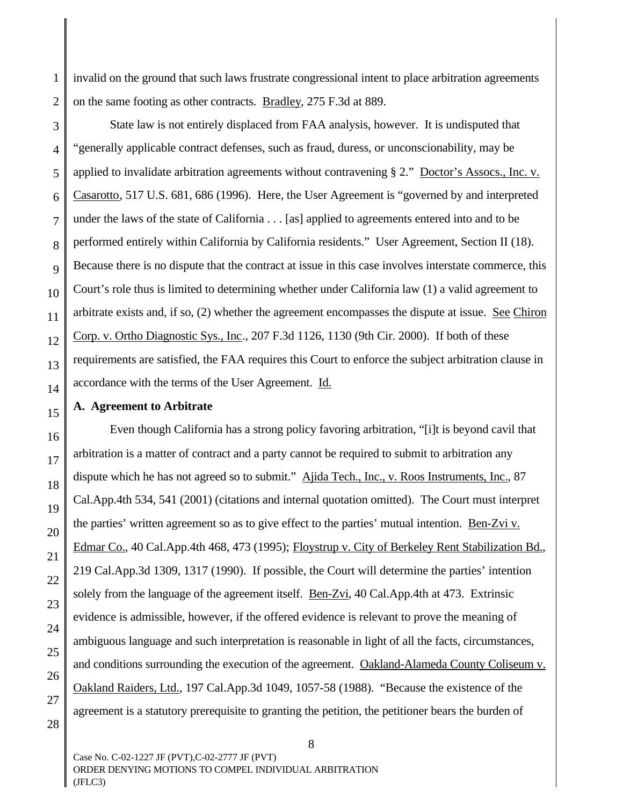1 2 invalid on the ground that such laws frustrate congressional intent to place arbitration agreements on the same footing as other contracts. Bradley, 275 F.3d at 889.

3 4 State law is not entirely displaced from FAA analysis, however. It is undisputed that "generally applicable contract defenses, such as fraud, duress, or unconscionability, may be applied to invalidate arbitration agreements without contravening § 2." Doctor's Assocs., Inc. v. Casarotto, 517 U.S. 681, 686 (1996). Here, the User Agreement is "governed by and interpreted under the laws of the state of California . . . [as] applied to agreements entered into and to be performed entirely within California by California residents." User Agreement, Section II (18). Because there is no dispute that the contract at issue in this case involves interstate commerce, this Court's role thus is limited to determining whether under California law (1) a valid agreement to arbitrate exists and, if so, (2) whether the agreement encompasses the dispute at issue. See Chiron Corp. v. Ortho Diagnostic Sys., Inc., 207 F.3d 1126, 1130 (9th Cir. 2000). If both of these requirements are satisfied, the FAA requires this Court to enforce the subject arbitration clause in accordance with the terms of the User Agreement. Id.

#### **A. Agreement to Arbitrate**

Even though California has a strong policy favoring arbitration, "[i]t is beyond cavil that arbitration is a matter of contract and a party cannot be required to submit to arbitration any dispute which he has not agreed so to submit." Ajida Tech., Inc., v. Roos Instruments, Inc., 87 Cal.App.4th 534, 541 (2001) (citations and internal quotation omitted). The Court must interpret the parties' written agreement so as to give effect to the parties' mutual intention. Ben-Zvi v. Edmar Co., 40 Cal.App.4th 468, 473 (1995); Floystrup v. City of Berkeley Rent Stabilization Bd., 219 Cal.App.3d 1309, 1317 (1990). If possible, the Court will determine the parties' intention solely from the language of the agreement itself. Ben-Zvi, 40 Cal.App.4th at 473. Extrinsic evidence is admissible, however, if the offered evidence is relevant to prove the meaning of ambiguous language and such interpretation is reasonable in light of all the facts, circumstances, and conditions surrounding the execution of the agreement. Oakland-Alameda County Coliseum v. Oakland Raiders, Ltd., 197 Cal.App.3d 1049, 1057-58 (1988). "Because the existence of the agreement is a statutory prerequisite to granting the petition, the petitioner bears the burden of

8

Case No. C-02-1227 JF (PVT),C-02-2777 JF (PVT) ORDER DENYING MOTIONS TO COMPEL INDIVIDUAL ARBITRATION (JFLC3)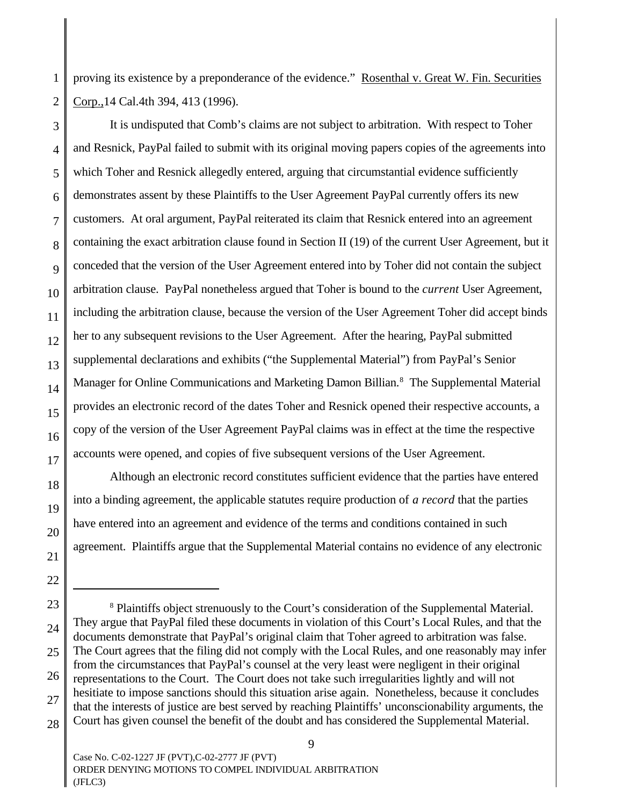1 2 proving its existence by a preponderance of the evidence." Rosenthal v. Great W. Fin. Securities Corp.,14 Cal.4th 394, 413 (1996).

3

4

5

6

7

8

9

11

12

17

18

19

20

21

22

10 13 14 15 16 It is undisputed that Comb's claims are not subject to arbitration. With respect to Toher and Resnick, PayPal failed to submit with its original moving papers copies of the agreements into which Toher and Resnick allegedly entered, arguing that circumstantial evidence sufficiently demonstrates assent by these Plaintiffs to the User Agreement PayPal currently offers its new customers. At oral argument, PayPal reiterated its claim that Resnick entered into an agreement containing the exact arbitration clause found in Section II (19) of the current User Agreement, but it conceded that the version of the User Agreement entered into by Toher did not contain the subject arbitration clause. PayPal nonetheless argued that Toher is bound to the *current* User Agreement, including the arbitration clause, because the version of the User Agreement Toher did accept binds her to any subsequent revisions to the User Agreement. After the hearing, PayPal submitted supplemental declarations and exhibits ("the Supplemental Material") from PayPal's Senior Manager for Online Communications and Marketing Damon Billian.<sup>8</sup> The Supplemental Material provides an electronic record of the dates Toher and Resnick opened their respective accounts, a copy of the version of the User Agreement PayPal claims was in effect at the time the respective accounts were opened, and copies of five subsequent versions of the User Agreement.

Although an electronic record constitutes sufficient evidence that the parties have entered into a binding agreement, the applicable statutes require production of *a record* that the parties have entered into an agreement and evidence of the terms and conditions contained in such agreement. Plaintiffs argue that the Supplemental Material contains no evidence of any electronic

<sup>23</sup> 24 25 26 27 28 <sup>8</sup> Plaintiffs object strenuously to the Court's consideration of the Supplemental Material. They argue that PayPal filed these documents in violation of this Court's Local Rules, and that the documents demonstrate that PayPal's original claim that Toher agreed to arbitration was false. The Court agrees that the filing did not comply with the Local Rules, and one reasonably may infer from the circumstances that PayPal's counsel at the very least were negligent in their original representations to the Court. The Court does not take such irregularities lightly and will not hesitiate to impose sanctions should this situation arise again. Nonetheless, because it concludes that the interests of justice are best served by reaching Plaintiffs' unconscionability arguments, the Court has given counsel the benefit of the doubt and has considered the Supplemental Material.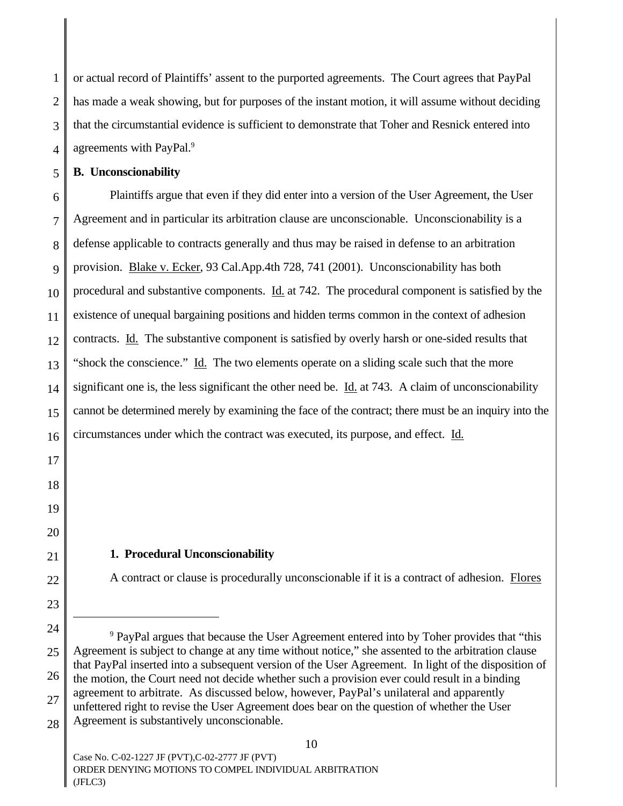1 2 3 4 or actual record of Plaintiffs' assent to the purported agreements. The Court agrees that PayPal has made a weak showing, but for purposes of the instant motion, it will assume without deciding that the circumstantial evidence is sufficient to demonstrate that Toher and Resnick entered into agreements with PayPal.<sup>9</sup>

#### **B. Unconscionability**

5

6 7 8 9 10 11 12 13 14 15 16 Plaintiffs argue that even if they did enter into a version of the User Agreement, the User Agreement and in particular its arbitration clause are unconscionable. Unconscionability is a defense applicable to contracts generally and thus may be raised in defense to an arbitration provision. Blake v. Ecker, 93 Cal.App.4th 728, 741 (2001). Unconscionability has both procedural and substantive components. Id. at 742. The procedural component is satisfied by the existence of unequal bargaining positions and hidden terms common in the context of adhesion contracts. Id*.* The substantive component is satisfied by overly harsh or one-sided results that "shock the conscience." Id. The two elements operate on a sliding scale such that the more significant one is, the less significant the other need be. Id. at 743. A claim of unconscionability cannot be determined merely by examining the face of the contract; there must be an inquiry into the circumstances under which the contract was executed, its purpose, and effect. Id.

#### **1. Procedural Unconscionability**

A contract or clause is procedurally unconscionable if it is a contract of adhesion. Flores

10

17

18

19

20

21

22

<sup>24</sup> 25 26 27 28 <sup>9</sup> PayPal argues that because the User Agreement entered into by Toher provides that "this Agreement is subject to change at any time without notice," she assented to the arbitration clause that PayPal inserted into a subsequent version of the User Agreement. In light of the disposition of the motion, the Court need not decide whether such a provision ever could result in a binding agreement to arbitrate. As discussed below, however, PayPal's unilateral and apparently unfettered right to revise the User Agreement does bear on the question of whether the User Agreement is substantively unconscionable.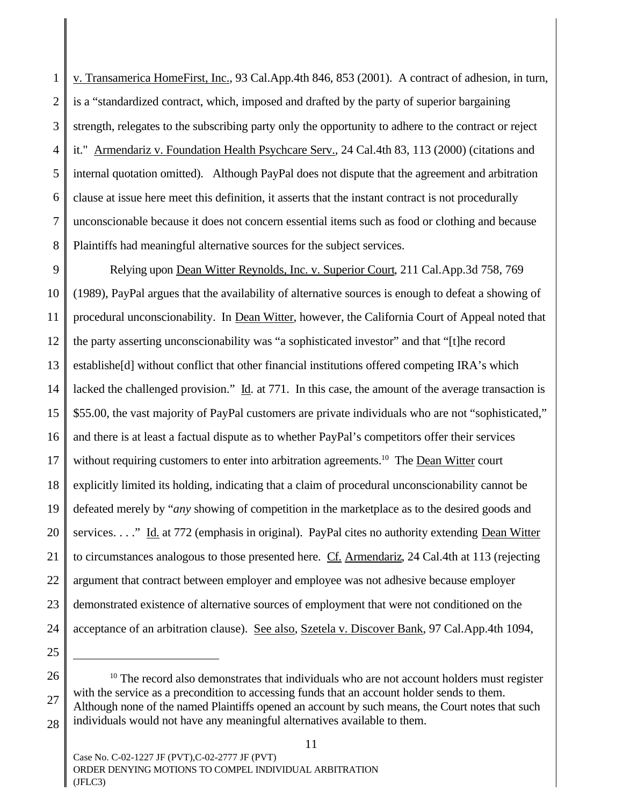1 2 3 4 5 6 7 8 v. Transamerica HomeFirst, Inc., 93 Cal.App.4th 846, 853 (2001). A contract of adhesion, in turn, is a "standardized contract, which, imposed and drafted by the party of superior bargaining strength, relegates to the subscribing party only the opportunity to adhere to the contract or reject it." Armendariz v. Foundation Health Psychcare Serv.*,* 24 Cal.4th 83, 113 (2000) (citations and internal quotation omitted). Although PayPal does not dispute that the agreement and arbitration clause at issue here meet this definition, it asserts that the instant contract is not procedurally unconscionable because it does not concern essential items such as food or clothing and because Plaintiffs had meaningful alternative sources for the subject services.

9 10 11 12 13 14 15 16 17 18 19 20 21 22 23 24 Relying upon Dean Witter Reynolds, Inc. v. Superior Court, 211 Cal.App.3d 758, 769 (1989), PayPal argues that the availability of alternative sources is enough to defeat a showing of procedural unconscionability. In Dean Witter, however, the California Court of Appeal noted that the party asserting unconscionability was "a sophisticated investor" and that "[t]he record establishe[d] without conflict that other financial institutions offered competing IRA's which lacked the challenged provision." Id*.* at 771. In this case, the amount of the average transaction is \$55.00, the vast majority of PayPal customers are private individuals who are not "sophisticated," and there is at least a factual dispute as to whether PayPal's competitors offer their services without requiring customers to enter into arbitration agreements.<sup>10</sup> The Dean Witter court explicitly limited its holding, indicating that a claim of procedural unconscionability cannot be defeated merely by "*any* showing of competition in the marketplace as to the desired goods and services. . . ." Id. at 772 (emphasis in original). PayPal cites no authority extending Dean Witter to circumstances analogous to those presented here. Cf. Armendariz, 24 Cal.4th at 113 (rejecting argument that contract between employer and employee was not adhesive because employer demonstrated existence of alternative sources of employment that were not conditioned on the acceptance of an arbitration clause). See also, Szetela v. Discover Bank, 97 Cal.App.4th 1094,

<sup>26</sup> 27 28  $10$  The record also demonstrates that individuals who are not account holders must register with the service as a precondition to accessing funds that an account holder sends to them. Although none of the named Plaintiffs opened an account by such means, the Court notes that such individuals would not have any meaningful alternatives available to them.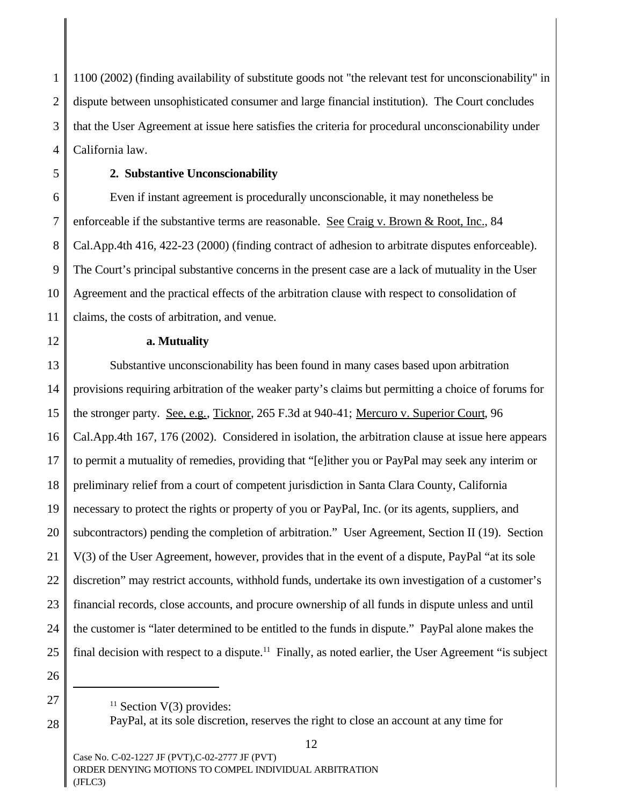1 2 3 4 1100 (2002) (finding availability of substitute goods not "the relevant test for unconscionability" in dispute between unsophisticated consumer and large financial institution). The Court concludes that the User Agreement at issue here satisfies the criteria for procedural unconscionability under California law.

6

5

7

9

10

11

12

# **2. Substantive Unconscionability**

8 Even if instant agreement is procedurally unconscionable, it may nonetheless be enforceable if the substantive terms are reasonable. See Craig v. Brown & Root, Inc., 84 Cal.App.4th 416, 422-23 (2000) (finding contract of adhesion to arbitrate disputes enforceable). The Court's principal substantive concerns in the present case are a lack of mutuality in the User Agreement and the practical effects of the arbitration clause with respect to consolidation of claims, the costs of arbitration, and venue.

### **a. Mutuality**

13 14 15 16 17 18 19 20 21 22 23 24 25 Substantive unconscionability has been found in many cases based upon arbitration provisions requiring arbitration of the weaker party's claims but permitting a choice of forums for the stronger party. See, e.g., Ticknor, 265 F.3d at 940-41; Mercuro v. Superior Court, 96 Cal.App.4th 167, 176 (2002). Considered in isolation, the arbitration clause at issue here appears to permit a mutuality of remedies, providing that "[e]ither you or PayPal may seek any interim or preliminary relief from a court of competent jurisdiction in Santa Clara County, California necessary to protect the rights or property of you or PayPal, Inc. (or its agents, suppliers, and subcontractors) pending the completion of arbitration." User Agreement, Section II (19). Section V(3) of the User Agreement, however, provides that in the event of a dispute, PayPal "at its sole discretion" may restrict accounts, withhold funds, undertake its own investigation of a customer's financial records, close accounts, and procure ownership of all funds in dispute unless and until the customer is "later determined to be entitled to the funds in dispute." PayPal alone makes the final decision with respect to a dispute.<sup>11</sup> Finally, as noted earlier, the User Agreement "is subject

26 27

28

PayPal, at its sole discretion, reserves the right to close an account at any time for

 $11$  Section V(3) provides: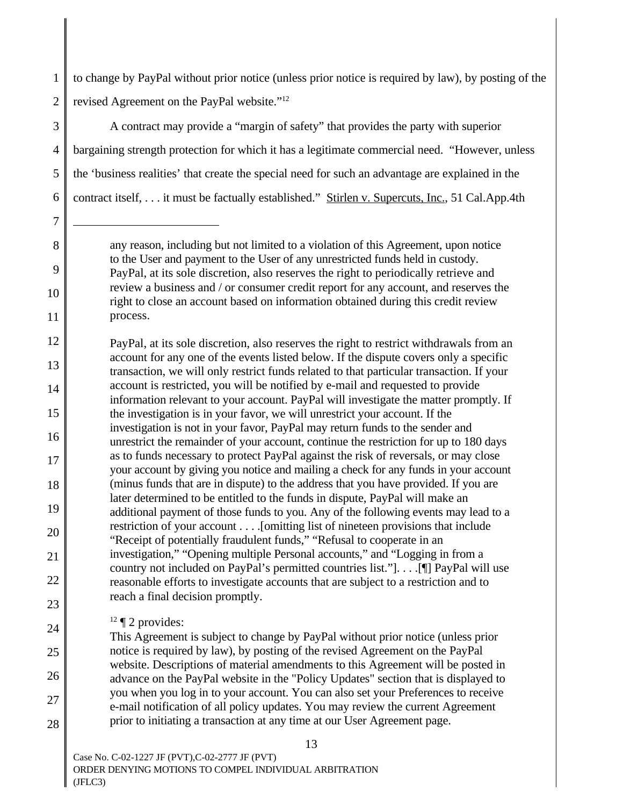1 2 to change by PayPal without prior notice (unless prior notice is required by law), by posting of the revised Agreement on the PayPal website."<sup>12</sup>

3 4 5 6 A contract may provide a "margin of safety" that provides the party with superior bargaining strength protection for which it has a legitimate commercial need. "However, unless the 'business realities' that create the special need for such an advantage are explained in the contract itself, . . . it must be factually established." Stirlen v. Supercuts, Inc., 51 Cal.App.4th

12 13 14 15 16 17 18 19 20 21 22 23 PayPal, at its sole discretion, also reserves the right to restrict withdrawals from an account for any one of the events listed below. If the dispute covers only a specific transaction, we will only restrict funds related to that particular transaction. If your account is restricted, you will be notified by e-mail and requested to provide information relevant to your account. PayPal will investigate the matter promptly. If the investigation is in your favor, we will unrestrict your account. If the investigation is not in your favor, PayPal may return funds to the sender and unrestrict the remainder of your account, continue the restriction for up to 180 days as to funds necessary to protect PayPal against the risk of reversals, or may close your account by giving you notice and mailing a check for any funds in your account (minus funds that are in dispute) to the address that you have provided. If you are later determined to be entitled to the funds in dispute, PayPal will make an additional payment of those funds to you. Any of the following events may lead to a restriction of your account . . . .[omitting list of nineteen provisions that include "Receipt of potentially fraudulent funds," "Refusal to cooperate in an investigation," "Opening multiple Personal accounts," and "Logging in from a country not included on PayPal's permitted countries list."]. . . .[¶] PayPal will use reasonable efforts to investigate accounts that are subject to a restriction and to reach a final decision promptly.

 $12 \text{ } \text{\textdegree}$  2 provides:

7

8

9

10

11

24

25

26

27

28

This Agreement is subject to change by PayPal without prior notice (unless prior notice is required by law), by posting of the revised Agreement on the PayPal website. Descriptions of material amendments to this Agreement will be posted in advance on the PayPal website in the "Policy Updates" section that is displayed to you when you log in to your account. You can also set your Preferences to receive e-mail notification of all policy updates. You may review the current Agreement prior to initiating a transaction at any time at our User Agreement page.

any reason, including but not limited to a violation of this Agreement, upon notice to the User and payment to the User of any unrestricted funds held in custody. PayPal, at its sole discretion, also reserves the right to periodically retrieve and review a business and / or consumer credit report for any account, and reserves the right to close an account based on information obtained during this credit review process.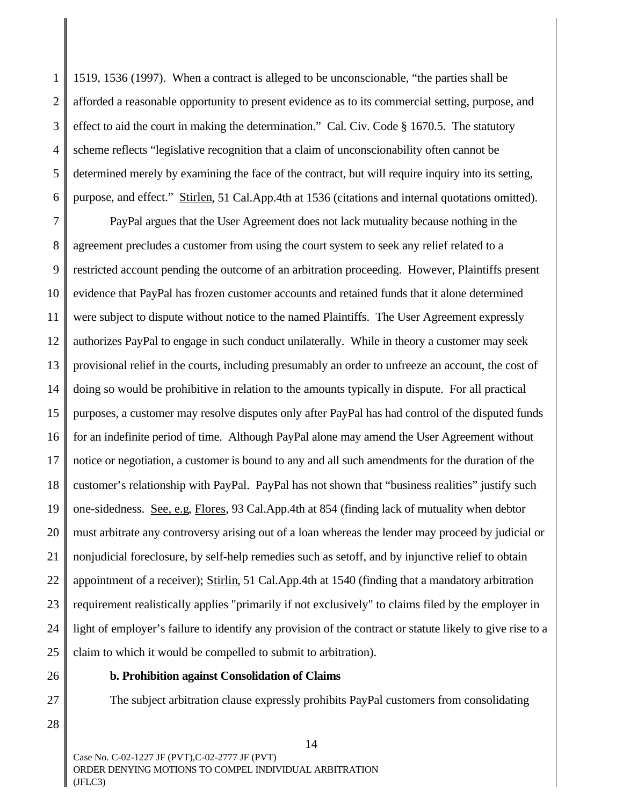1 2 3 4 5 6 1519, 1536 (1997). When a contract is alleged to be unconscionable, "the parties shall be afforded a reasonable opportunity to present evidence as to its commercial setting, purpose, and effect to aid the court in making the determination." Cal. Civ. Code § 1670.5. The statutory scheme reflects "legislative recognition that a claim of unconscionability often cannot be determined merely by examining the face of the contract, but will require inquiry into its setting, purpose, and effect." Stirlen, 51 Cal.App.4th at 1536 (citations and internal quotations omitted).

7 8 9 10 11 12 13 14 15 16 17 18 19 20 21 22 23 24 25 PayPal argues that the User Agreement does not lack mutuality because nothing in the agreement precludes a customer from using the court system to seek any relief related to a restricted account pending the outcome of an arbitration proceeding. However, Plaintiffs present evidence that PayPal has frozen customer accounts and retained funds that it alone determined were subject to dispute without notice to the named Plaintiffs. The User Agreement expressly authorizes PayPal to engage in such conduct unilaterally. While in theory a customer may seek provisional relief in the courts, including presumably an order to unfreeze an account, the cost of doing so would be prohibitive in relation to the amounts typically in dispute. For all practical purposes, a customer may resolve disputes only after PayPal has had control of the disputed funds for an indefinite period of time. Although PayPal alone may amend the User Agreement without notice or negotiation, a customer is bound to any and all such amendments for the duration of the customer's relationship with PayPal. PayPal has not shown that "business realities" justify such one-sidedness. See, e.g, Flores, 93 Cal.App.4th at 854 (finding lack of mutuality when debtor must arbitrate any controversy arising out of a loan whereas the lender may proceed by judicial or nonjudicial foreclosure, by self-help remedies such as setoff, and by injunctive relief to obtain appointment of a receiver); Stirlin, 51 Cal.App.4th at 1540 (finding that a mandatory arbitration requirement realistically applies "primarily if not exclusively" to claims filed by the employer in light of employer's failure to identify any provision of the contract or statute likely to give rise to a claim to which it would be compelled to submit to arbitration).

26 27

#### **b. Prohibition against Consolidation of Claims**

The subject arbitration clause expressly prohibits PayPal customers from consolidating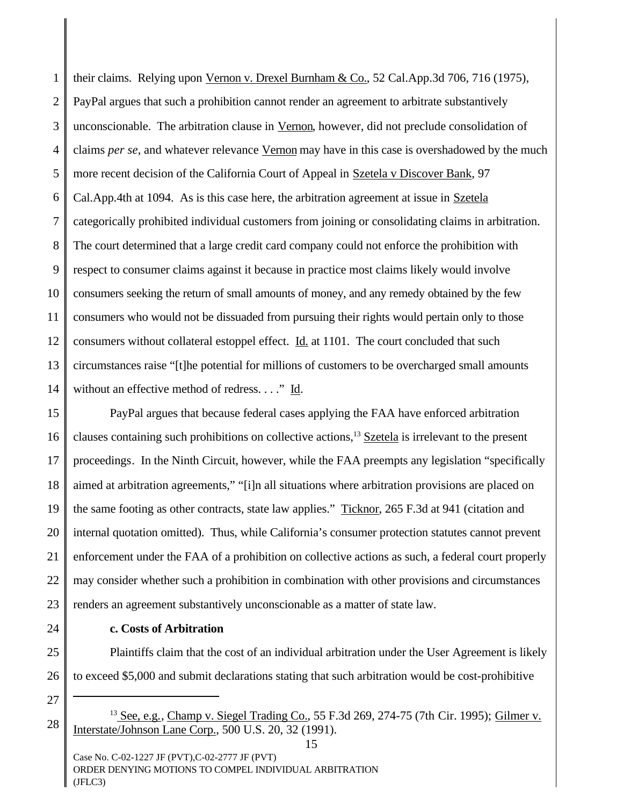1 2 3 4 5 6 7 8 9 10 11 12 13 their claims. Relying upon Vernon v. Drexel Burnham & Co., 52 Cal.App.3d 706, 716 (1975), PayPal argues that such a prohibition cannot render an agreement to arbitrate substantively unconscionable. The arbitration clause in Vernon, however, did not preclude consolidation of claims *per se*, and whatever relevance Vernon may have in this case is overshadowed by the much more recent decision of the California Court of Appeal in Szetela v Discover Bank, 97 Cal.App.4th at 1094. As is this case here, the arbitration agreement at issue in Szetela categorically prohibited individual customers from joining or consolidating claims in arbitration. The court determined that a large credit card company could not enforce the prohibition with respect to consumer claims against it because in practice most claims likely would involve consumers seeking the return of small amounts of money, and any remedy obtained by the few consumers who would not be dissuaded from pursuing their rights would pertain only to those consumers without collateral estoppel effect. Id. at 1101. The court concluded that such circumstances raise "[t]he potential for millions of customers to be overcharged small amounts without an effective method of redress. . . ." Id.

PayPal argues that because federal cases applying the FAA have enforced arbitration clauses containing such prohibitions on collective actions,<sup>13</sup> Szetela is irrelevant to the present proceedings. In the Ninth Circuit, however, while the FAA preempts any legislation "specifically aimed at arbitration agreements," "[i]n all situations where arbitration provisions are placed on the same footing as other contracts, state law applies." Ticknor, 265 F.3d at 941 (citation and internal quotation omitted). Thus, while California's consumer protection statutes cannot prevent enforcement under the FAA of a prohibition on collective actions as such, a federal court properly may consider whether such a prohibition in combination with other provisions and circumstances renders an agreement substantively unconscionable as a matter of state law.

**c. Costs of Arbitration** 

Plaintiffs claim that the cost of an individual arbitration under the User Agreement is likely to exceed \$5,000 and submit declarations stating that such arbitration would be cost-prohibitive

<sup>13</sup> See, e.g., Champ v. Siegel Trading Co., 55 F.3d 269, 274-75 (7th Cir. 1995); Gilmer v. Interstate/Johnson Lane Corp., 500 U.S. 20, 32 (1991).

15

Case No. C-02-1227 JF (PVT),C-02-2777 JF (PVT) ORDER DENYING MOTIONS TO COMPEL INDIVIDUAL ARBITRATION (JFLC3)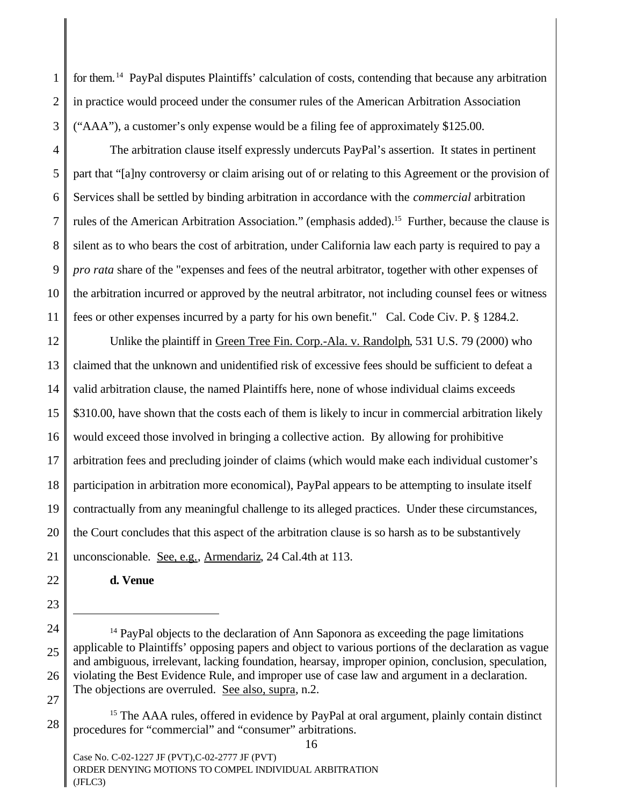for them.<sup>14</sup> PayPal disputes Plaintiffs' calculation of costs, contending that because any arbitration in practice would proceed under the consumer rules of the American Arbitration Association ("AAA"), a customer's only expense would be a filing fee of approximately \$125.00.

The arbitration clause itself expressly undercuts PayPal's assertion. It states in pertinent part that "[a]ny controversy or claim arising out of or relating to this Agreement or the provision of Services shall be settled by binding arbitration in accordance with the *commercial* arbitration rules of the American Arbitration Association." (emphasis added).<sup>15</sup> Further, because the clause is silent as to who bears the cost of arbitration, under California law each party is required to pay a *pro rata* share of the "expenses and fees of the neutral arbitrator, together with other expenses of the arbitration incurred or approved by the neutral arbitrator, not including counsel fees or witness fees or other expenses incurred by a party for his own benefit." Cal. Code Civ. P. § 1284.2.

Unlike the plaintiff in Green Tree Fin. Corp.-Ala. v. Randolph, 531 U.S. 79 (2000) who claimed that the unknown and unidentified risk of excessive fees should be sufficient to defeat a valid arbitration clause, the named Plaintiffs here, none of whose individual claims exceeds \$310.00, have shown that the costs each of them is likely to incur in commercial arbitration likely would exceed those involved in bringing a collective action. By allowing for prohibitive arbitration fees and precluding joinder of claims (which would make each individual customer's participation in arbitration more economical), PayPal appears to be attempting to insulate itself contractually from any meaningful challenge to its alleged practices. Under these circumstances, the Court concludes that this aspect of the arbitration clause is so harsh as to be substantively unconscionable. See, e.g., Armendariz, 24 Cal.4th at 113.

**d. Venue**

1

<sup>&</sup>lt;sup>14</sup> PayPal objects to the declaration of Ann Saponora as exceeding the page limitations applicable to Plaintiffs' opposing papers and object to various portions of the declaration as vague and ambiguous, irrelevant, lacking foundation, hearsay, improper opinion, conclusion, speculation, violating the Best Evidence Rule, and improper use of case law and argument in a declaration. The objections are overruled. See also, supra, n.2.

<sup>&</sup>lt;sup>15</sup> The AAA rules, offered in evidence by PayPal at oral argument, plainly contain distinct procedures for "commercial" and "consumer" arbitrations. 16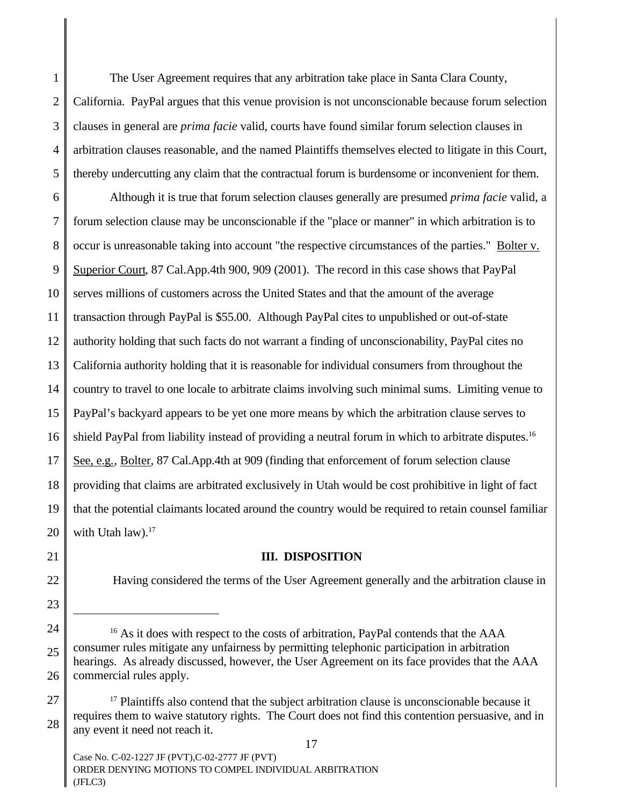1 2 3 4 5 The User Agreement requires that any arbitration take place in Santa Clara County, California. PayPal argues that this venue provision is not unconscionable because forum selection clauses in general are *prima facie* valid, courts have found similar forum selection clauses in arbitration clauses reasonable, and the named Plaintiffs themselves elected to litigate in this Court, thereby undercutting any claim that the contractual forum is burdensome or inconvenient for them.

6 7 8 9 10 11 12 13 14 15 16 17 18 19 20 Although it is true that forum selection clauses generally are presumed *prima facie* valid, a forum selection clause may be unconscionable if the "place or manner" in which arbitration is to occur is unreasonable taking into account "the respective circumstances of the parties." Bolter v. Superior Court, 87 Cal.App.4th 900, 909 (2001). The record in this case shows that PayPal serves millions of customers across the United States and that the amount of the average transaction through PayPal is \$55.00. Although PayPal cites to unpublished or out-of-state authority holding that such facts do not warrant a finding of unconscionability, PayPal cites no California authority holding that it is reasonable for individual consumers from throughout the country to travel to one locale to arbitrate claims involving such minimal sums. Limiting venue to PayPal's backyard appears to be yet one more means by which the arbitration clause serves to shield PayPal from liability instead of providing a neutral forum in which to arbitrate disputes.<sup>16</sup> See, e.g., Bolter, 87 Cal.App.4th at 909 (finding that enforcement of forum selection clause providing that claims are arbitrated exclusively in Utah would be cost prohibitive in light of fact that the potential claimants located around the country would be required to retain counsel familiar with Utah law).<sup>17</sup>

**III. DISPOSITION**

22

23

24

25

26

21

# Having considered the terms of the User Agreement generally and the arbitration clause in

<sup>&</sup>lt;sup>16</sup> As it does with respect to the costs of arbitration, PayPal contends that the AAA consumer rules mitigate any unfairness by permitting telephonic participation in arbitration hearings. As already discussed, however, the User Agreement on its face provides that the AAA commercial rules apply.

<sup>27</sup> 28  $17$  Plaintiffs also contend that the subject arbitration clause is unconscionable because it requires them to waive statutory rights. The Court does not find this contention persuasive, and in any event it need not reach it.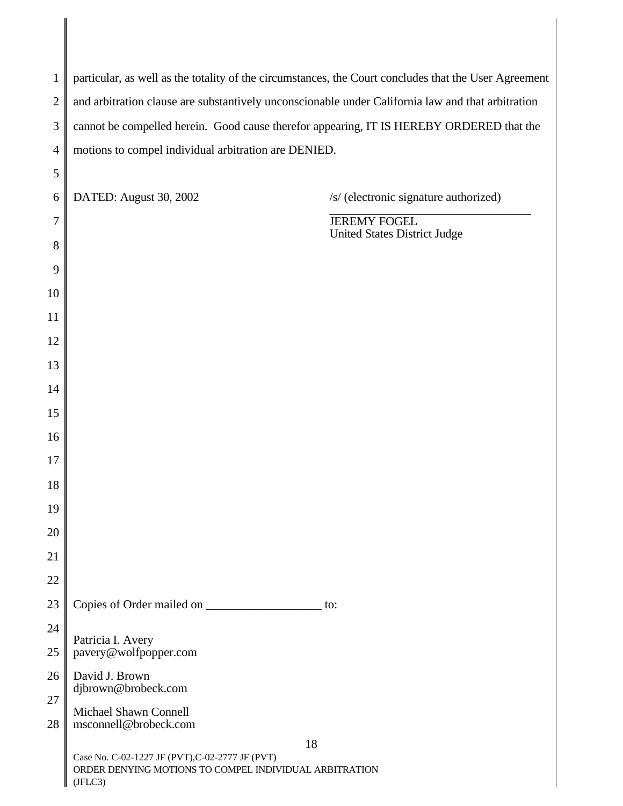| $\mathbf{1}$   | particular, as well as the totality of the circumstances, the Court concludes that the User Agreement                |  |  |
|----------------|----------------------------------------------------------------------------------------------------------------------|--|--|
| $\overline{2}$ | and arbitration clause are substantively unconscionable under California law and that arbitration                    |  |  |
| 3              | cannot be compelled herein. Good cause therefor appearing, IT IS HEREBY ORDERED that the                             |  |  |
| $\overline{4}$ | motions to compel individual arbitration are DENIED.                                                                 |  |  |
| 5              |                                                                                                                      |  |  |
| 6              | DATED: August 30, 2002<br>/s/ (electronic signature authorized)                                                      |  |  |
| 7              | <b>JEREMY FOGEL</b><br><b>United States District Judge</b>                                                           |  |  |
| 8              |                                                                                                                      |  |  |
| 9              |                                                                                                                      |  |  |
| 10             |                                                                                                                      |  |  |
| 11             |                                                                                                                      |  |  |
| 12             |                                                                                                                      |  |  |
| 13             |                                                                                                                      |  |  |
| 14             |                                                                                                                      |  |  |
| 15             |                                                                                                                      |  |  |
| 16             |                                                                                                                      |  |  |
| 17             |                                                                                                                      |  |  |
| 18             |                                                                                                                      |  |  |
| 19             |                                                                                                                      |  |  |
| 20             |                                                                                                                      |  |  |
| 21             |                                                                                                                      |  |  |
| 22             |                                                                                                                      |  |  |
| 23             | Copies of Order mailed on<br>to:                                                                                     |  |  |
| 24<br>25       | Patricia I. Avery<br>pavery@wolfpopper.com                                                                           |  |  |
| 26             | David J. Brown                                                                                                       |  |  |
| 27             | djbrown@brobeck.com                                                                                                  |  |  |
| 28             | Michael Shawn Connell<br>msconnell@brobeck.com                                                                       |  |  |
|                | 18                                                                                                                   |  |  |
|                | Case No. C-02-1227 JF (PVT), C-02-2777 JF (PVT)<br>ORDER DENYING MOTIONS TO COMPEL INDIVIDUAL ARBITRATION<br>(IFLC3) |  |  |